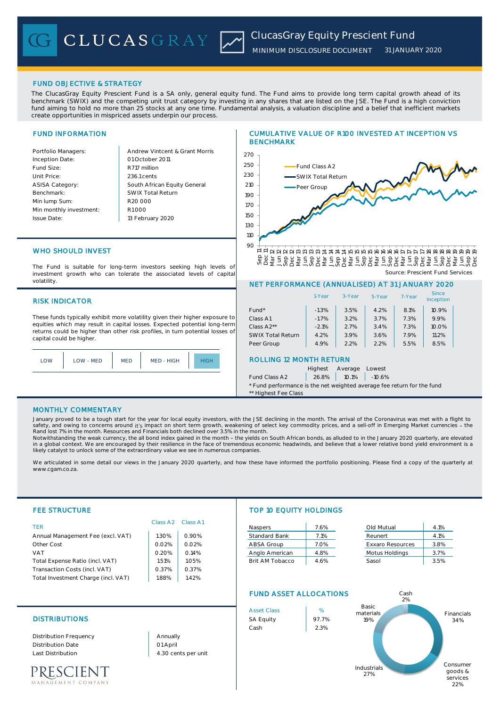

# FUND OBJECTIVE & STRATEGY

The ClucasGray Equity Prescient Fund is a SA only, general equity fund. The Fund aims to provide long term capital growth ahead of its benchmark (SWIX) and the competing unit trust category by investing in any shares that are listed on the JSE. The Fund is a high conviction fund aiming to hold no more than 25 stocks at any one time. Fundamental analysis, a valuation discipline and a belief that inefficient markets create opportunities in mispriced assets underpin our process.

## FUND INFORMATION

Andrew Vintcent & Grant Morris R717 million South African Equity General 236.1 cents R1 000 01 October 2011 13 February 2020 R20 000 SWIX Total Return

## WHO SHOULD INVEST

The Fund is suitable for long-term investors seeking high levels of investment growth who can tolerate the associated levels of capital volatility.

## RISK INDICATOR

These funds typically exhibit more volatility given their higher exposure to equities which may result in capital losses. Expected potential long-term returns could be higher than other risk profiles, in turn potential losses of capital could be higher.



# CUMULATIVE VALUE OF R100 INVESTED AT INCEPTION VS BENCHMARK



Source: Prescient Fund Services

# NET PERFORMANCE (ANNUALISED) AT 31 JANUARY 2020

|                                | 1-Year         | 3-Year  | 5-Year | 7-Year | <b>Since</b><br>Inception |  |  |  |  |  |  |
|--------------------------------|----------------|---------|--------|--------|---------------------------|--|--|--|--|--|--|
| $Fund*$                        | $-1.3%$        | 3.5%    | 4.2%   | 8.1%   | 10.9%                     |  |  |  |  |  |  |
| Class A1                       | $-1.7%$        | 3.2%    | 3.7%   | 7.3%   | 9.9%                      |  |  |  |  |  |  |
| Class A2**                     | $-2.1%$        | 2.7%    | 3.4%   | 7.3%   | 10.0%                     |  |  |  |  |  |  |
| <b>SWIX Total Return</b>       | 4.2%           | 3.9%    | 3.6%   | 7.9%   | 11.2%                     |  |  |  |  |  |  |
| Peer Group                     | 4.9%           | 2.2%    | 2.2%   | 5.5%   | 8.5%                      |  |  |  |  |  |  |
| <b>ROLLING 12 MONTH RETURN</b> |                |         |        |        |                           |  |  |  |  |  |  |
|                                | <b>Highest</b> | Average | Lowest |        |                           |  |  |  |  |  |  |

Fund Class A2 26.8% 10.1% -10.6%

\* Fund performance is the net weighted average fee return for the fund \*\* Highest Fee Class

### MONTHLY COMMENTARY

January proved to be a tough start for the year for local equity investors, with the JSE declining in the month. The arrival of the Coronavirus was met with a flight to safety, and owing to concerns around i**t's** impact on short term growth, weakening of select key commodity prices, and a sell-off in Emerging Market currencies - the<br>Rand lost 7% in the month. Resources and Financials both

Notwithstanding the weak currency, the all bond index gained in the month - the yields on South African bonds, as alluded to in the January 2020 quarterly, are elevated<br>in a global context. We are encouraged by their resil likely catalyst to unlock some of the extraordinary value we see in numerous companies.

We articulated in some detail our views in the January 2020 quarterly, and how these have informed the portfolio positioning. Please find a copy of the quarterly at www.cgam.co.za.

| <b>FEE STRUCTURE</b>                |                      |          | TOP 10 EQUITY HOLDINGS |                               |                         |            |
|-------------------------------------|----------------------|----------|------------------------|-------------------------------|-------------------------|------------|
| <b>TER</b>                          | Class A <sub>2</sub> | Class A1 | Naspers                | 7.6%                          | Old Mutual              | 4.1%       |
| Annual Management Fee (excl. VAT)   | 1.30%                | 0.90%    | <b>Standard Bank</b>   | 7.1%                          | Reunert                 | 4.1%       |
| Other Cost                          | 0.02%                | 0.02%    | ABSA Group             | 7.0%                          | <b>Exxaro Resources</b> | 3.8%       |
| <b>VAT</b>                          | 0.20%                | 0.14%    | Anglo American         | 4.8%                          | Motus Holdings          | 3.7%       |
| Total Expense Ratio (incl. VAT)     | 1.51%                | 1.05%    | Brit AM Tobacco        | 4.6%                          | Sasol                   | 3.5%       |
| Transaction Costs (incl. VAT)       | 0.37%                | 0.37%    |                        |                               |                         |            |
| Total Investment Charge (incl. VAT) | 1.88%                | 1.42%    |                        |                               |                         |            |
|                                     |                      |          |                        | <b>FUND ASSET ALLOCATIONS</b> |                         |            |
|                                     |                      |          | <b>Asset Class</b>     | %                             | Basic<br>motoriale      | Financiala |

## DISTRIBUTIONS SA Equity 97.7%

Distribution Frequency Distribution Date Last Distribution 4.30 cents per unit

01 April Annually



PRESCIENT EMENT COMPANY